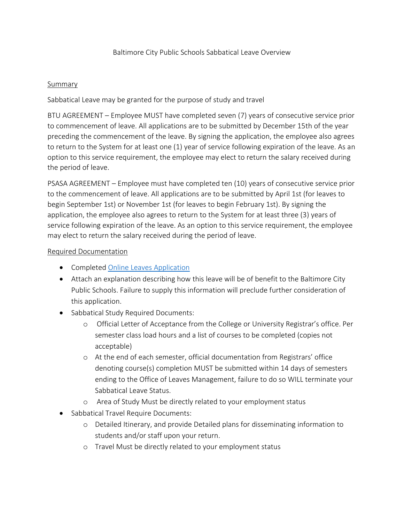## **Summary**

Sabbatical Leave may be granted for the purpose of study and travel

BTU AGREEMENT – Employee MUST have completed seven (7) years of consecutive service prior to commencement of leave. All applications are to be submitted by December 15th of the year preceding the commencement of the leave. By signing the application, the employee also agrees to return to the System for at least one (1) year of service following expiration of the leave. As an option to this service requirement, the employee may elect to return the salary received during the period of leave.

PSASA AGREEMENT – Employee must have completed ten (10) years of consecutive service prior to the commencement of leave. All applications are to be submitted by April 1st (for leaves to begin September 1st) or November 1st (for leaves to begin February 1st). By signing the application, the employee also agrees to return to the System for at least three (3) years of service following expiration of the leave. As an option to this service requirement, the employee may elect to return the salary received during the period of leave.

## Required Documentation

- Completed [Online Leaves Application](https://forms.office.com/Pages/ResponsePage.aspx?id=9LJbBuNvT0GpEPKIYwXIFBnhxb7D_0RFuekVM8XY2ktUNjVHUTQxREFHNVZCVVlQRFdRNDRaNEJSMSQlQCN0PWcu)
- Attach an explanation describing how this leave will be of benefit to the Baltimore City Public Schools. Failure to supply this information will preclude further consideration of this application.
- Sabbatical Study Required Documents:
	- o Official Letter of Acceptance from the College or University Registrar's office. Per semester class load hours and a list of courses to be completed (copies not acceptable)
	- o At the end of each semester, official documentation from Registrars' office denoting course(s) completion MUST be submitted within 14 days of semesters ending to the Office of Leaves Management, failure to do so WILL terminate your Sabbatical Leave Status.
	- o Area of Study Must be directly related to your employment status
- Sabbatical Travel Require Documents:
	- o Detailed Itinerary, and provide Detailed plans for disseminating information to students and/or staff upon your return.
	- o Travel Must be directly related to your employment status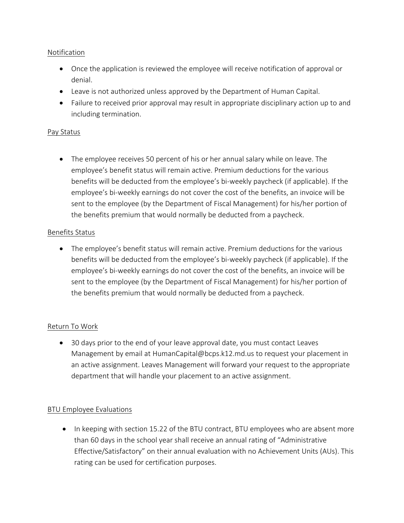# Notification

- Once the application is reviewed the employee will receive notification of approval or denial.
- Leave is not authorized unless approved by the Department of Human Capital.
- Failure to received prior approval may result in appropriate disciplinary action up to and including termination.

## Pay Status

• The employee receives 50 percent of his or her annual salary while on leave. The employee's benefit status will remain active. Premium deductions for the various benefits will be deducted from the employee's bi-weekly paycheck (if applicable). If the employee's bi-weekly earnings do not cover the cost of the benefits, an invoice will be sent to the employee (by the Department of Fiscal Management) for his/her portion of the benefits premium that would normally be deducted from a paycheck.

# Benefits Status

• The employee's benefit status will remain active. Premium deductions for the various benefits will be deducted from the employee's bi-weekly paycheck (if applicable). If the employee's bi-weekly earnings do not cover the cost of the benefits, an invoice will be sent to the employee (by the Department of Fiscal Management) for his/her portion of the benefits premium that would normally be deducted from a paycheck.

# Return To Work

• 30 days prior to the end of your leave approval date, you must contact Leaves Management by email at HumanCapital@bcps.k12.md.us to request your placement in an active assignment. Leaves Management will forward your request to the appropriate department that will handle your placement to an active assignment.

# BTU Employee Evaluations

• In keeping with section 15.22 of the BTU contract, BTU employees who are absent more than 60 days in the school year shall receive an annual rating of "Administrative Effective/Satisfactory" on their annual evaluation with no Achievement Units (AUs). This rating can be used for certification purposes.